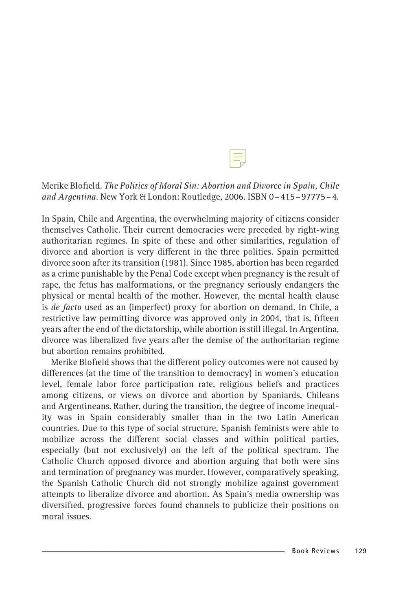Merike Blofield. The Politics of Moral Sin: Abortion and Divorce in Spain, Chile and Argentina. New York & London: Routledge, 2006. ISBN 0–415–97775–4.

In Spain, Chile and Argentina, the overwhelming majority of citizens consider themselves Catholic. Their current democracies were preceded by right-wing authoritarian regimes. In spite of these and other similarities, regulation of divorce and abortion is very different in the three polities. Spain permitted divorce soon after its transition (1981). Since 1985, abortion has been regarded as a crime punishable by the Penal Code except when pregnancy is the result of rape, the fetus has malformations, or the pregnancy seriously endangers the physical or mental health of the mother. However, the mental health clause is de facto used as an (imperfect) proxy for abortion on demand. In Chile, a restrictive law permitting divorce was approved only in 2004, that is, fifteen years after the end of the dictatorship, while abortion is still illegal. In Argentina, divorce was liberalized five years after the demise of the authoritarian regime but abortion remains prohibited.

Merike Blofield shows that the different policy outcomes were not caused by differences (at the time of the transition to democracy) in women's education level, female labor force participation rate, religious beliefs and practices among citizens, or views on divorce and abortion by Spaniards, Chileans and Argentineans. Rather, during the transition, the degree of income inequality was in Spain considerably smaller than in the two Latin American countries. Due to this type of social structure, Spanish feminists were able to mobilize across the different social classes and within political parties, especially (but not exclusively) on the left of the political spectrum. The Catholic Church opposed divorce and abortion arguing that both were sins and termination of pregnancy was murder. However, comparatively speaking, the Spanish Catholic Church did not strongly mobilize against government attempts to liberalize divorce and abortion. As Spain's media ownership was diversified, progressive forces found channels to publicize their positions on moral issues.

 $\pm$  Hidemi Suganami 2008